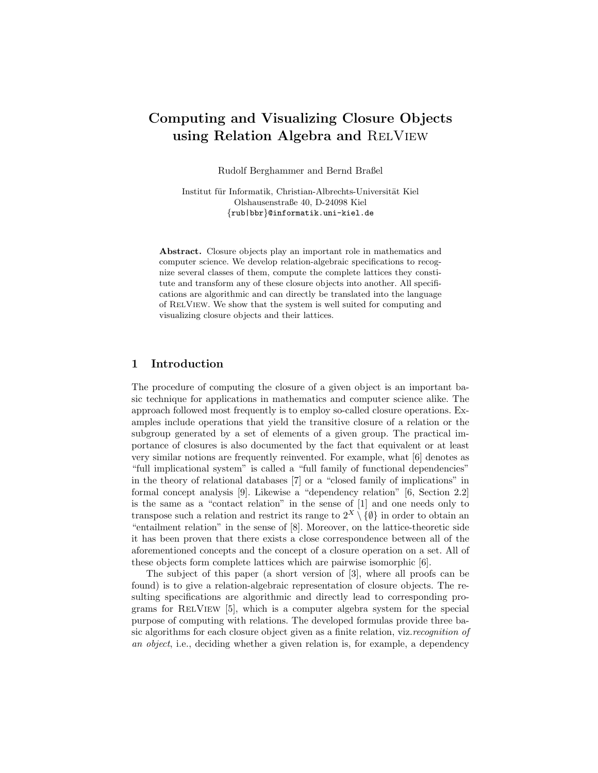# Computing and Visualizing Closure Objects using Relation Algebra and RELVIEW

Rudolf Berghammer and Bernd Braßel

Institut für Informatik, Christian-Albrechts-Universität Kiel Olshausenstraße 40, D-24098 Kiel {rub|bbr}@informatik.uni-kiel.de

Abstract. Closure objects play an important role in mathematics and computer science. We develop relation-algebraic specifications to recognize several classes of them, compute the complete lattices they constitute and transform any of these closure objects into another. All specifications are algorithmic and can directly be translated into the language of RelView. We show that the system is well suited for computing and visualizing closure objects and their lattices.

## 1 Introduction

The procedure of computing the closure of a given object is an important basic technique for applications in mathematics and computer science alike. The approach followed most frequently is to employ so-called closure operations. Examples include operations that yield the transitive closure of a relation or the subgroup generated by a set of elements of a given group. The practical importance of closures is also documented by the fact that equivalent or at least very similar notions are frequently reinvented. For example, what [6] denotes as "full implicational system" is called a "full family of functional dependencies" in the theory of relational databases [7] or a "closed family of implications" in formal concept analysis [9]. Likewise a "dependency relation" [6, Section 2.2] is the same as a "contact relation" in the sense of [1] and one needs only to transpose such a relation and restrict its range to  $2^X \setminus \{\emptyset\}$  in order to obtain an "entailment relation" in the sense of [8]. Moreover, on the lattice-theoretic side it has been proven that there exists a close correspondence between all of the aforementioned concepts and the concept of a closure operation on a set. All of these objects form complete lattices which are pairwise isomorphic [6].

The subject of this paper (a short version of [3], where all proofs can be found) is to give a relation-algebraic representation of closure objects. The resulting specifications are algorithmic and directly lead to corresponding programs for RelView [5], which is a computer algebra system for the special purpose of computing with relations. The developed formulas provide three basic algorithms for each closure object given as a finite relation, viz.recognition of an object, i.e., deciding whether a given relation is, for example, a dependency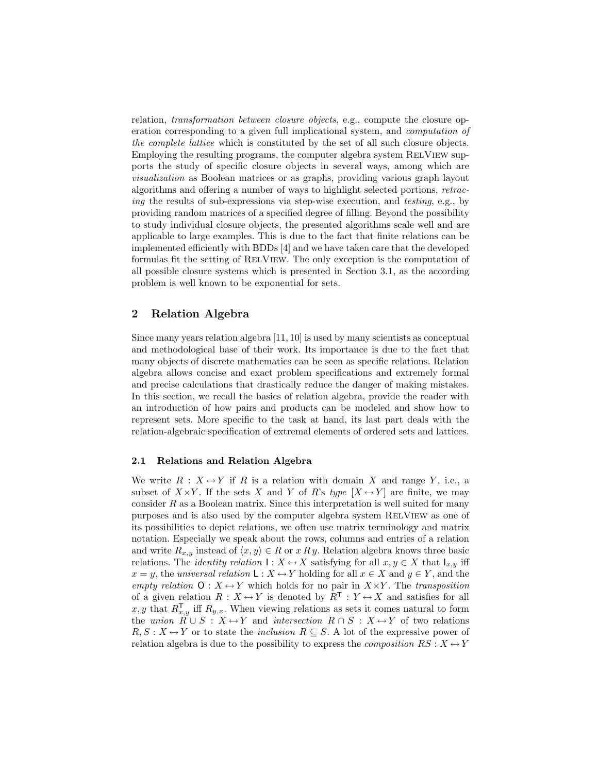relation, transformation between closure objects, e.g., compute the closure operation corresponding to a given full implicational system, and computation of the complete lattice which is constituted by the set of all such closure objects. Employing the resulting programs, the computer algebra system RELVIEW supports the study of specific closure objects in several ways, among which are visualization as Boolean matrices or as graphs, providing various graph layout algorithms and offering a number of ways to highlight selected portions, retracing the results of sub-expressions via step-wise execution, and testing, e.g., by providing random matrices of a specified degree of filling. Beyond the possibility to study individual closure objects, the presented algorithms scale well and are applicable to large examples. This is due to the fact that finite relations can be implemented efficiently with BDDs [4] and we have taken care that the developed formulas fit the setting of RelView. The only exception is the computation of all possible closure systems which is presented in Section 3.1, as the according problem is well known to be exponential for sets.

# 2 Relation Algebra

Since many years relation algebra [11, 10] is used by many scientists as conceptual and methodological base of their work. Its importance is due to the fact that many objects of discrete mathematics can be seen as specific relations. Relation algebra allows concise and exact problem specifications and extremely formal and precise calculations that drastically reduce the danger of making mistakes. In this section, we recall the basics of relation algebra, provide the reader with an introduction of how pairs and products can be modeled and show how to represent sets. More specific to the task at hand, its last part deals with the relation-algebraic specification of extremal elements of ordered sets and lattices.

## 2.1 Relations and Relation Algebra

We write  $R : X \rightarrow Y$  if R is a relation with domain X and range Y, i.e., a subset of  $X \times Y$ . If the sets X and Y of R's type  $[X \leftrightarrow Y]$  are finite, we may consider  $R$  as a Boolean matrix. Since this interpretation is well suited for many purposes and is also used by the computer algebra system RELVIEW as one of its possibilities to depict relations, we often use matrix terminology and matrix notation. Especially we speak about the rows, columns and entries of a relation and write  $R_{x,y}$  instead of  $\langle x, y \rangle \in R$  or  $x R y$ . Relation algebra knows three basic relations. The *identity relation*  $I: X \leftrightarrow X$  satisfying for all  $x, y \in X$  that  $I_{x,y}$  iff  $x = y$ , the universal relation  $\mathsf{L}: X \leftrightarrow Y$  holding for all  $x \in X$  and  $y \in Y$ , and the empty relation  $O: X \leftrightarrow Y$  which holds for no pair in  $X \times Y$ . The transposition of a given relation  $R: X \leftrightarrow Y$  is denoted by  $R^{\mathsf{T}}: Y \leftrightarrow X$  and satisfies for all x, y that  $R_{x,y}^{\mathsf{T}}$  iff  $R_{y,x}$ . When viewing relations as sets it comes natural to form the union  $\overline{R} \cup S : X \rightarrow Y$  and intersection  $R \cap S : X \rightarrow Y$  of two relations  $R, S: X \leftrightarrow Y$  or to state the *inclusion*  $R \subseteq S$ . A lot of the expressive power of relation algebra is due to the possibility to express the *composition*  $RS: X \leftrightarrow Y$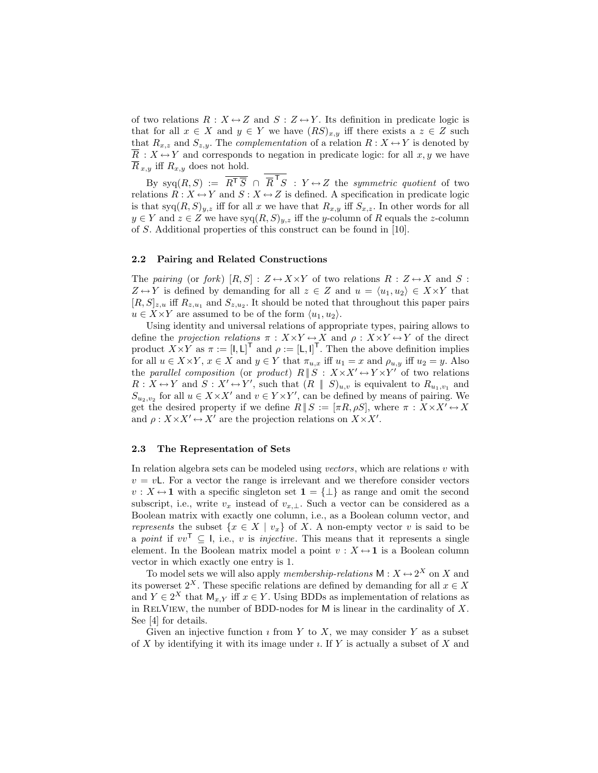of two relations  $R: X \leftrightarrow Z$  and  $S: Z \leftrightarrow Y$ . Its definition in predicate logic is that for all  $x \in X$  and  $y \in Y$  we have  $(RS)_{x,y}$  iff there exists a  $z \in Z$  such that  $R_{x,z}$  and  $S_{z,y}$ . The *complementation* of a relation  $R: X \leftrightarrow Y$  is denoted by  $\overline{R}: X \leftrightarrow Y$  and corresponds to negation in predicate logic: for all  $x, y$  we have  $\overline{R}_{x,y}$  iff  $R_{x,y}$  does not hold.

By syq $(R, S) := \overline{R^T \overline{S}} \cap \overline{R}^T S : Y \leftrightarrow Z$  the symmetric quotient of two relations  $R: X \leftrightarrow Y$  and  $S: X \leftrightarrow Z$  is defined. A specification in predicate logic is that  $\text{syq}(R,S)_{y,z}$  iff for all x we have that  $R_{x,y}$  iff  $S_{x,z}$ . In other words for all  $y \in Y$  and  $z \in Z$  we have  $\text{syq}(R, S)_{y,z}$  iff the y-column of R equals the z-column of S. Additional properties of this construct can be found in [10].

## 2.2 Pairing and Related Constructions

The pairing (or fork)  $[R, S] : Z \leftrightarrow X \times Y$  of two relations  $R : Z \leftrightarrow X$  and S:  $Z \leftrightarrow Y$  is defined by demanding for all  $z \in Z$  and  $u = \langle u_1, u_2 \rangle \in X \times Y$  that  $[R, S]_{z,u}$  iff  $R_{z,u_1}$  and  $S_{z,u_2}$ . It should be noted that throughout this paper pairs  $u \in X \times Y$  are assumed to be of the form  $\langle u_1, u_2 \rangle$ .

Using identity and universal relations of appropriate types, pairing allows to define the projection relations  $\pi : X \times Y \leftrightarrow X$  and  $\rho : X \times Y \leftrightarrow Y$  of the direct product  $X \times Y$  as  $\pi := [I, L]^T$  and  $\rho := [L, I]^T$ . Then the above definition implies for all  $u \in X \times Y$ ,  $x \in X$  and  $y \in Y$  that  $\pi_{u,x}$  iff  $u_1 = x$  and  $\rho_{u,y}$  iff  $u_2 = y$ . Also the parallel composition (or product)  $R \parallel S : X \times X' \leftrightarrow Y \times Y'$  of two relations  $R: X \leftrightarrow Y$  and  $S: X' \leftrightarrow Y'$ , such that  $(R \parallel S)_{u,v}$  is equivalent to  $R_{u_1,v_1}$  and  $S_{u_2,v_2}$  for all  $u \in X \times X'$  and  $v \in Y \times Y'$ , can be defined by means of pairing. We get the desired property if we define  $R \parallel S := [\pi R, \rho S]$ , where  $\pi : X \times X' \leftrightarrow X$ and  $\rho: X \times X' \leftrightarrow X'$  are the projection relations on  $X \times X'$ .

### 2.3 The Representation of Sets

In relation algebra sets can be modeled using vectors, which are relations  $v$  with  $v = vL$ . For a vector the range is irrelevant and we therefore consider vectors  $v: X \leftrightarrow 1$  with a specific singleton set  $1 = {\perp}$  as range and omit the second subscript, i.e., write  $v_x$  instead of  $v_{x,\perp}$ . Such a vector can be considered as a Boolean matrix with exactly one column, i.e., as a Boolean column vector, and represents the subset  $\{x \in X \mid v_x\}$  of X. A non-empty vector v is said to be a point if  $vv^{\mathsf{T}} \subseteq I$ , i.e., v is *injective*. This means that it represents a single element. In the Boolean matrix model a point  $v : X \leftrightarrow \mathbf{1}$  is a Boolean column vector in which exactly one entry is 1.

To model sets we will also apply *membership-relations*  $M: X \leftrightarrow 2^X$  on X and its powerset  $2^X$ . These specific relations are defined by demanding for all  $x \in X$ and  $Y \in 2^X$  that  $\mathsf{M}_{x,Y}$  iff  $x \in Y$ . Using BDDs as implementation of relations as in RELVIEW, the number of BDD-nodes for  $M$  is linear in the cardinality of  $X$ . See [4] for details.

Given an injective function  $\imath$  from Y to X, we may consider Y as a subset of  $X$  by identifying it with its image under  $\imath$ . If  $Y$  is actually a subset of  $X$  and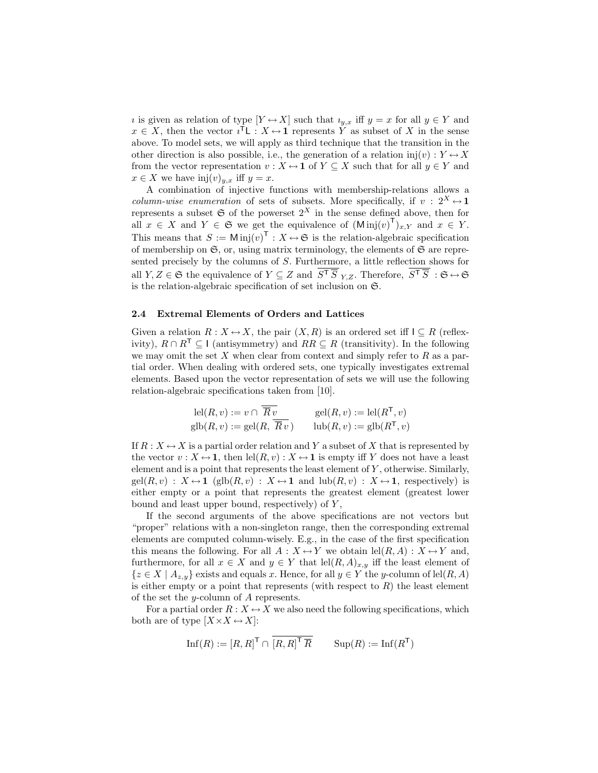*i* is given as relation of type  $[Y \leftrightarrow X]$  such that  $i_{y,x}$  iff  $y = x$  for all  $y \in Y$  and  $x \in X$ , then the vector  $i^{\mathsf{T}} L : X \rightarrow 1$  represents Y as subset of X in the sense above. To model sets, we will apply as third technique that the transition in the other direction is also possible, i.e., the generation of a relation  $inj(v): Y \leftrightarrow X$ from the vector representation  $v : X \mapsto \mathbf{1}$  of  $Y \subseteq X$  such that for all  $y \in Y$  and  $x \in X$  we have  $\text{inj}(v)_{y,x}$  iff  $y=x$ .

A combination of injective functions with membership-relations allows a *column-wise enumeration* of sets of subsets. More specifically, if  $v : 2^X \leftrightarrow 1$ represents a subset  $\mathfrak S$  of the powerset  $2^X$  in the sense defined above, then for all  $x \in X$  and  $Y \in \mathfrak{S}$  we get the equivalence of  $(\text{Min}(v)^{\mathsf{T}})_{x,Y}$  and  $x \in Y$ . This means that  $S := \text{Min}(v)^\mathsf{T} : X \to \mathfrak{S}$  is the relation-algebraic specification of membership on  $\mathfrak{S}$ , or, using matrix terminology, the elements of  $\mathfrak{S}$  are represented precisely by the columns of S. Furthermore, a little reflection shows for all  $Y, Z \in \mathfrak{S}$  the equivalence of  $Y \subseteq Z$  and  $\overline{S^{\dagger} \overline{S}}_{Y,Z}$ . Therefore,  $\overline{S^{\dagger} \overline{S}} : \mathfrak{S} \leftrightarrow \mathfrak{S}$ is the relation-algebraic specification of set inclusion on  $\mathfrak{S}$ .

### 2.4 Extremal Elements of Orders and Lattices

Given a relation  $R: X \leftrightarrow X$ , the pair  $(X, R)$  is an ordered set iff  $I \subseteq R$  (reflexivity),  $R \cap R^{\mathsf{T}} \subseteq I$  (antisymmetry) and  $RR \subseteq R$  (transitivity). In the following we may omit the set  $X$  when clear from context and simply refer to  $R$  as a partial order. When dealing with ordered sets, one typically investigates extremal elements. Based upon the vector representation of sets we will use the following relation-algebraic specifications taken from [10].

$$
\text{lel}(R, v) := v \cap \overline{R} v\n \text{gel}(R, v) := \text{lel}(R^{\mathsf{T}}, v)
$$
\n
$$
\text{glb}(R, v) := \text{gel}(R, \overline{R} v) \qquad \text{lub}(R, v) := \text{glb}(R^{\mathsf{T}}, v)
$$

If  $R: X \leftrightarrow X$  is a partial order relation and Y a subset of X that is represented by the vector  $v : X \leftrightarrow 1$ , then  $\text{lel}(R, v) : X \leftrightarrow 1$  is empty iff Y does not have a least element and is a point that represents the least element of  $Y$ , otherwise. Similarly,  $gel(R, v) : X \leftrightarrow 1 \text{ (glb}(R, v) : X \leftrightarrow 1 \text{ and } lub(R, v) : X \leftrightarrow 1 \text{, respectively}$  is either empty or a point that represents the greatest element (greatest lower bound and least upper bound, respectively) of  $Y$ ,

If the second arguments of the above specifications are not vectors but "proper" relations with a non-singleton range, then the corresponding extremal elements are computed column-wisely. E.g., in the case of the first specification this means the following. For all  $A: X \leftrightarrow Y$  we obtain  $\text{lel}(R, A): X \leftrightarrow Y$  and, furthermore, for all  $x \in X$  and  $y \in Y$  that  $\text{lel}(R, A)_{x,y}$  iff the least element of  ${z \in X \mid A_{z,y}}$  exists and equals x. Hence, for all  $y \in Y$  the y-column of lel(R, A) is either empty or a point that represents (with respect to  $R$ ) the least element of the set the *y*-column of  $\tilde{A}$  represents.

For a partial order  $R : X \leftrightarrow X$  we also need the following specifications, which both are of type  $[X \times X \leftrightarrow X]$ :

$$
\mathrm{Inf}(R) := \left[R, R\right]^\mathsf{T} \cap \overline{\left[R, R\right]^\mathsf{T} \overline{R}} \qquad \mathrm{Sup}(R) := \mathrm{Inf}(R^\mathsf{T})
$$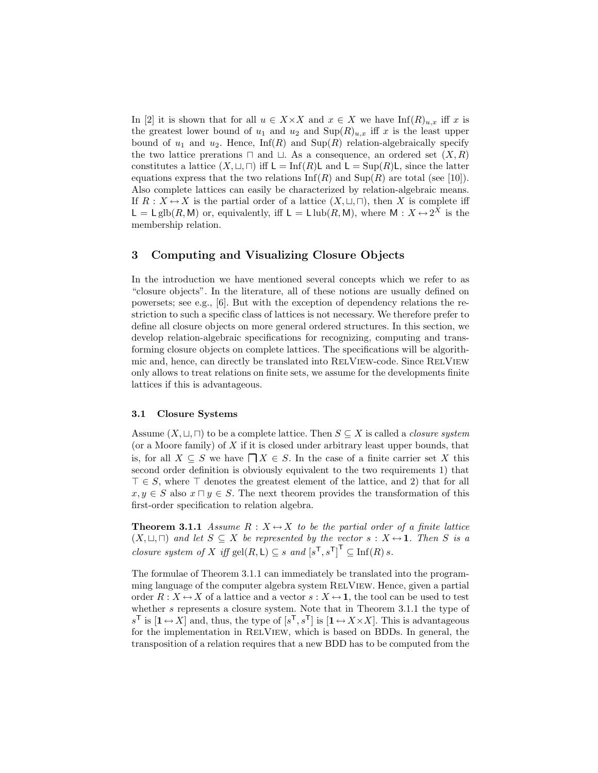In [2] it is shown that for all  $u \in X \times X$  and  $x \in X$  we have  $\text{Inf}(R)_{u,x}$  iff x is the greatest lower bound of  $u_1$  and  $u_2$  and  $\text{Sup}(R)_{u,x}$  iff x is the least upper bound of  $u_1$  and  $u_2$ . Hence,  $\text{Inf}(R)$  and  $\text{Sup}(R)$  relation-algebraically specify the two lattice prerations  $\sqcap$  and  $\sqcup$ . As a consequence, an ordered set  $(X, R)$ constitutes a lattice  $(X, \sqcup, \sqcap)$  iff  $\mathsf{L} = \text{Inf}(R)\mathsf{L}$  and  $\mathsf{L} = \text{Sup}(R)\mathsf{L}$ , since the latter equations express that the two relations  $\text{Inf}(R)$  and  $\text{Sup}(R)$  are total (see [10]). Also complete lattices can easily be characterized by relation-algebraic means. If  $R: X \leftrightarrow X$  is the partial order of a lattice  $(X, \sqcup, \sqcap)$ , then X is complete iff  $\mathsf{L} = \mathsf{L}\text{ glb}(R, \mathsf{M})$  or, equivalently, iff  $\mathsf{L} = \mathsf{L}\text{ lub}(R, \mathsf{M})$ , where  $\mathsf{M}: X \leftrightarrow 2^X$  is the membership relation.

# 3 Computing and Visualizing Closure Objects

In the introduction we have mentioned several concepts which we refer to as "closure objects". In the literature, all of these notions are usually defined on powersets; see e.g., [6]. But with the exception of dependency relations the restriction to such a specific class of lattices is not necessary. We therefore prefer to define all closure objects on more general ordered structures. In this section, we develop relation-algebraic specifications for recognizing, computing and transforming closure objects on complete lattices. The specifications will be algorithmic and, hence, can directly be translated into RELVIEW-code. Since RELVIEW only allows to treat relations on finite sets, we assume for the developments finite lattices if this is advantageous.

#### 3.1 Closure Systems

Assume  $(X, \sqcup, \sqcap)$  to be a complete lattice. Then  $S \subseteq X$  is called a *closure system* (or a Moore family) of  $X$  if it is closed under arbitrary least upper bounds, that is, for all  $X \subseteq S$  we have  $\bigcap X \in S$ . In the case of a finite carrier set X this second order definition is obviously equivalent to the two requirements 1) that  $\top \in S$ , where  $\top$  denotes the greatest element of the lattice, and 2) that for all  $x, y \in S$  also  $x \sqcap y \in S$ . The next theorem provides the transformation of this first-order specification to relation algebra.

**Theorem 3.1.1** Assume  $R: X \leftrightarrow X$  to be the partial order of a finite lattice  $(X, \sqcup, \sqcap)$  and let  $S \subseteq X$  be represented by the vector  $s : X \rightarrow \mathbf{1}$ . Then S is a *closure system of* X iff gel $(R, L) \subseteq s$  and  $[s^{\mathsf{T}}, s^{\mathsf{T}}]^{\mathsf{T}} \subseteq \text{Inf}(R) s$ .

The formulae of Theorem 3.1.1 can immediately be translated into the programming language of the computer algebra system RELVIEW. Hence, given a partial order  $R: X \leftrightarrow X$  of a lattice and a vector  $s: X \leftrightarrow \mathbf{1}$ , the tool can be used to test whether s represents a closure system. Note that in Theorem 3.1.1 the type of  $s^{\mathsf{T}}$  is  $[1 \leftrightarrow X]$  and, thus, the type of  $[s^{\mathsf{T}}, s^{\mathsf{T}}]$  is  $[1 \leftrightarrow X \times X]$ . This is advantageous for the implementation in RelView, which is based on BDDs. In general, the transposition of a relation requires that a new BDD has to be computed from the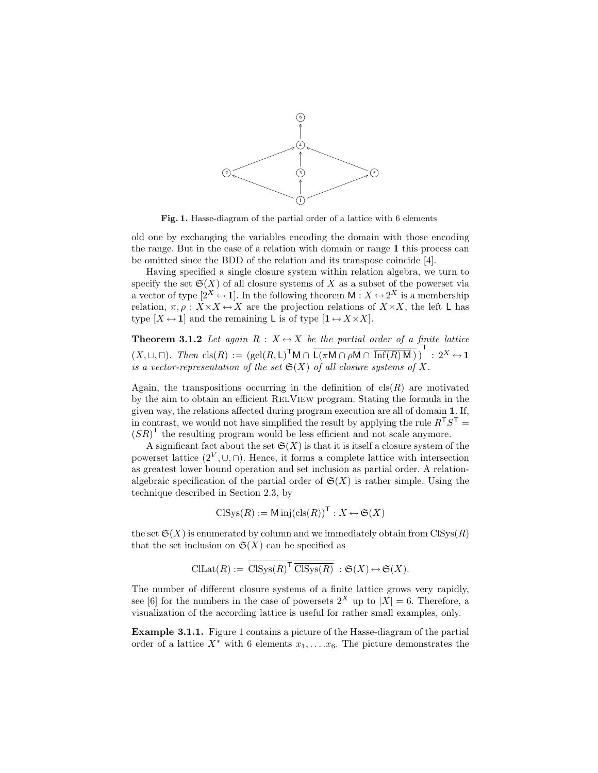

Fig. 1. Hasse-diagram of the partial order of a lattice with 6 elements

old one by exchanging the variables encoding the domain with those encoding the range. But in the case of a relation with domain or range 1 this process can be omitted since the BDD of the relation and its transpose coincide [4].

Having specified a single closure system within relation algebra, we turn to specify the set  $\mathfrak{S}(X)$  of all closure systems of X as a subset of the powerset via a vector of type  $[2^X \leftrightarrow 1]$ . In the following theorem  $M : X \leftrightarrow 2^X$  is a membership relation,  $\pi, \rho: X \times X \leftrightarrow X$  are the projection relations of  $X \times X$ , the left L has type  $[X \leftrightarrow 1]$  and the remaining L is of type  $[1 \leftrightarrow X \times X]$ .

**Theorem 3.1.2** Let again  $R : X \rightarrow X$  be the partial order of a finite lattice  $(X,\sqcup,\sqcap)$ . Then  $\text{cls}(R) := (\text{gel}(R,\mathsf{L})^{\mathsf{T}}\mathsf{M} \cap \overline{\mathsf{L}(\pi \mathsf{M} \cap \rho \mathsf{M} \cap \overline{\text{Inf}(R)\mathsf{M}})})^{\mathsf{T}} : 2^X \leftrightarrow \mathbf{1}$ is a vector-representation of the set  $\mathfrak{S}(X)$  of all closure systems of X.

Again, the transpositions occurring in the definition of  $cls(R)$  are motivated by the aim to obtain an efficient RelView program. Stating the formula in the given way, the relations affected during program execution are all of domain 1. If, in contrast, we would not have simplified the result by applying the rule  $R<sup>T</sup>S<sup>T</sup>$  =  $(SR)$ <sup>T</sup> the resulting program would be less efficient and not scale anymore.

A significant fact about the set  $\mathfrak{S}(X)$  is that it is itself a closure system of the powerset lattice  $(2^V, \cup, \cap)$ . Hence, it forms a complete lattice with intersection as greatest lower bound operation and set inclusion as partial order. A relationalgebraic specification of the partial order of  $\mathfrak{S}(X)$  is rather simple. Using the technique described in Section 2.3, by

$$
CISys(R) := \text{Min}(\text{cls}(R))^{\mathsf{T}} : X \leftrightarrow \mathfrak{S}(X)
$$

the set  $\mathfrak{S}(X)$  is enumerated by column and we immediately obtain from ClSys $(R)$ that the set inclusion on  $\mathfrak{S}(X)$  can be specified as

$$
\mathrm{CILat}(R) := \mathrm{CISys}(R)^{\mathsf{T}} \overline{\mathrm{CISys}(R)} : \mathfrak{S}(X) \leftrightarrow \mathfrak{S}(X).
$$

The number of different closure systems of a finite lattice grows very rapidly, see [6] for the numbers in the case of powersets  $2^X$  up to  $|X| = 6$ . Therefore, a visualization of the according lattice is useful for rather small examples, only.

Example 3.1.1. Figure 1 contains a picture of the Hasse-diagram of the partial order of a lattice  $X^*$  with 6 elements  $x_1, \ldots, x_6$ . The picture demonstrates the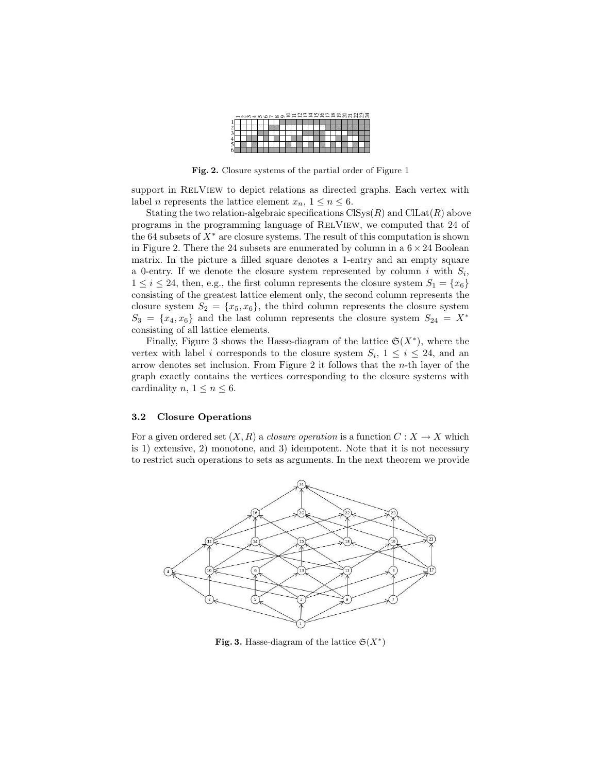|   | $\overline{N}$ | s. | 4000000 |  |  |  |  |  |  |  |  |  | ३ ह |
|---|----------------|----|---------|--|--|--|--|--|--|--|--|--|-----|
|   |                |    |         |  |  |  |  |  |  |  |  |  |     |
|   |                |    |         |  |  |  |  |  |  |  |  |  |     |
|   |                |    |         |  |  |  |  |  |  |  |  |  |     |
|   |                |    |         |  |  |  |  |  |  |  |  |  |     |
| J |                |    |         |  |  |  |  |  |  |  |  |  |     |
|   |                |    |         |  |  |  |  |  |  |  |  |  |     |

Fig. 2. Closure systems of the partial order of Figure 1

support in RELVIEW to depict relations as directed graphs. Each vertex with label *n* represents the lattice element  $x_n$ ,  $1 \le n \le 6$ .

Stating the two relation-algebraic specifications  $\text{Clys}(R)$  and  $\text{CILat}(R)$  above programs in the programming language of RELVIEW, we computed that 24 of the 64 subsets of  $X^*$  are closure systems. The result of this computation is shown in Figure 2. There the 24 subsets are enumerated by column in a  $6 \times 24$  Boolean matrix. In the picture a filled square denotes a 1-entry and an empty square a 0-entry. If we denote the closure system represented by column i with  $S_i$ ,  $1 \leq i \leq 24$ , then, e.g., the first column represents the closure system  $S_1 = \{x_6\}$ consisting of the greatest lattice element only, the second column represents the closure system  $S_2 = \{x_5, x_6\}$ , the third column represents the closure system  $S_3 = \{x_4, x_6\}$  and the last column represents the closure system  $S_{24} = X^*$ consisting of all lattice elements.

Finally, Figure 3 shows the Hasse-diagram of the lattice  $\mathfrak{S}(X^*)$ , where the vertex with label i corresponds to the closure system  $S_i$ ,  $1 \leq i \leq 24$ , and an arrow denotes set inclusion. From Figure 2 it follows that the n-th layer of the graph exactly contains the vertices corresponding to the closure systems with cardinality n,  $1 \leq n \leq 6$ .

#### 3.2 Closure Operations

For a given ordered set  $(X, R)$  a *closure operation* is a function  $C: X \to X$  which is 1) extensive, 2) monotone, and 3) idempotent. Note that it is not necessary to restrict such operations to sets as arguments. In the next theorem we provide



Fig. 3. Hasse-diagram of the lattice  $\mathfrak{S}(X^*)$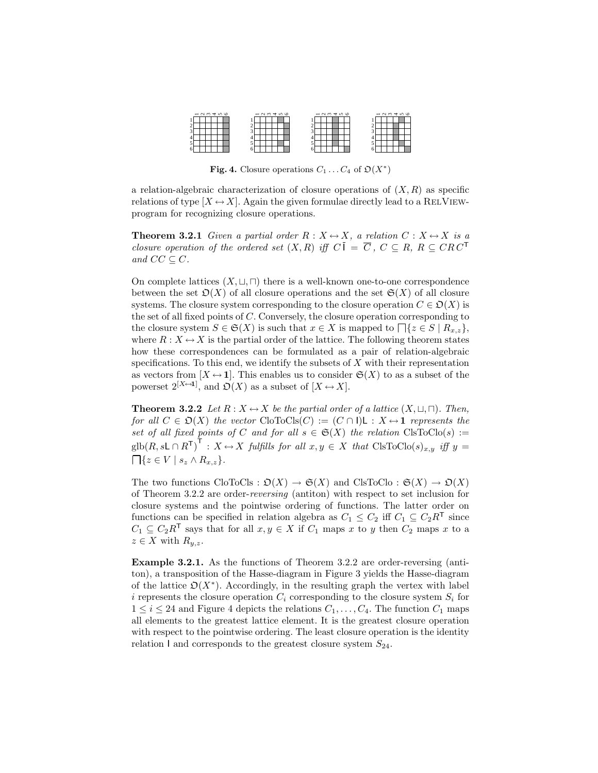| $-0.07400$ |  |  |  |  | $-0.070400$ |  |  |  |  |  |  | $-0.07090$ |  |  |  |  |  |  | $-0.07406$ |  |  |  |  |  |  |  |
|------------|--|--|--|--|-------------|--|--|--|--|--|--|------------|--|--|--|--|--|--|------------|--|--|--|--|--|--|--|
|            |  |  |  |  |             |  |  |  |  |  |  |            |  |  |  |  |  |  |            |  |  |  |  |  |  |  |
|            |  |  |  |  |             |  |  |  |  |  |  |            |  |  |  |  |  |  |            |  |  |  |  |  |  |  |
|            |  |  |  |  |             |  |  |  |  |  |  |            |  |  |  |  |  |  |            |  |  |  |  |  |  |  |
|            |  |  |  |  |             |  |  |  |  |  |  |            |  |  |  |  |  |  |            |  |  |  |  |  |  |  |
|            |  |  |  |  |             |  |  |  |  |  |  |            |  |  |  |  |  |  |            |  |  |  |  |  |  |  |
|            |  |  |  |  |             |  |  |  |  |  |  |            |  |  |  |  |  |  |            |  |  |  |  |  |  |  |

Fig. 4. Closure operations  $C_1 \dots C_4$  of  $\mathfrak{O}(X^*)$ 

a relation-algebraic characterization of closure operations of  $(X, R)$  as specific relations of type  $[X \leftrightarrow X]$ . Again the given formulae directly lead to a RELVIEWprogram for recognizing closure operations.

**Theorem 3.2.1** Given a partial order  $R : X \rightarrow X$ , a relation  $C : X \rightarrow X$  is a closure operation of the ordered set  $(X, R)$  iff  $C\overline{I} = \overline{C}$ ,  $C \subseteq R$ ,  $R \subseteq CRC^{\overline{T}}$ and  $CC \subseteq C$ .

On complete lattices  $(X, \sqcup, \sqcap)$  there is a well-known one-to-one correspondence between the set  $\mathfrak{O}(X)$  of all closure operations and the set  $\mathfrak{S}(X)$  of all closure systems. The closure system corresponding to the closure operation  $C \in \mathfrak{O}(X)$  is the set of all fixed points of C. Conversely, the closure operation corresponding to the closure system  $S \in \mathfrak{S}(X)$  is such that  $x \in X$  is mapped to  $\bigcap \{z \in S \mid R_{x,z}\}\,$ , where  $R: X \leftrightarrow X$  is the partial order of the lattice. The following theorem states how these correspondences can be formulated as a pair of relation-algebraic specifications. To this end, we identify the subsets of  $X$  with their representation as vectors from  $[X \leftrightarrow 1]$ . This enables us to consider  $\mathfrak{S}(X)$  to as a subset of the powerset  $2^{[X\leftrightarrow 1]}$ , and  $\mathfrak{O}(X)$  as a subset of  $[X \leftrightarrow X]$ .

**Theorem 3.2.2** Let  $R : X \leftrightarrow X$  be the partial order of a lattice  $(X, \sqcup, \sqcap)$ . Then, for all  $C \in \mathfrak{O}(X)$  the vector CloToCls(C) :=  $(C \cap I)L : X \rightarrow 1$  represents the set of all fixed points of C and for all  $s \in \mathfrak{S}(X)$  the relation  $\text{ClsToClo}(s) :=$  $\text{glb}(R, s\textsf{L}\cap R^{\mathsf{T}})^{\mathsf{T}}: X \leftrightarrow X$  fulfills for all  $x, y \in X$  that  $\text{ClsToClo}(s)_{x,y}$  iff  $y =$  $\bigcap \{z \in V \mid s_z \wedge R_{x,z}\}.$ 

The two functions  $CloToCls : \mathfrak{O}(X) \to \mathfrak{S}(X)$  and  $ClsToClo : \mathfrak{S}(X) \to \mathfrak{O}(X)$ of Theorem 3.2.2 are order-reversing (antiton) with respect to set inclusion for closure systems and the pointwise ordering of functions. The latter order on functions can be specified in relation algebra as  $C_1 \leq C_2$  iff  $C_1 \subseteq C_2 R^{\mathsf{T}}$  since  $C_1 \subseteq C_2R^{\mathsf{T}}$  says that for all  $x, y \in X$  if  $C_1$  maps x to y then  $C_2$  maps x to a  $z \in X$  with  $R_{y,z}$ .

Example 3.2.1. As the functions of Theorem 3.2.2 are order-reversing (antiton), a transposition of the Hasse-diagram in Figure 3 yields the Hasse-diagram of the lattice  $\mathfrak{O}(X^*)$ . Accordingly, in the resulting graph the vertex with label i represents the closure operation  $C_i$  corresponding to the closure system  $S_i$  for  $1 \leq i \leq 24$  and Figure 4 depicts the relations  $C_1, \ldots, C_4$ . The function  $C_1$  maps all elements to the greatest lattice element. It is the greatest closure operation with respect to the pointwise ordering. The least closure operation is the identity relation I and corresponds to the greatest closure system  $S_{24}$ .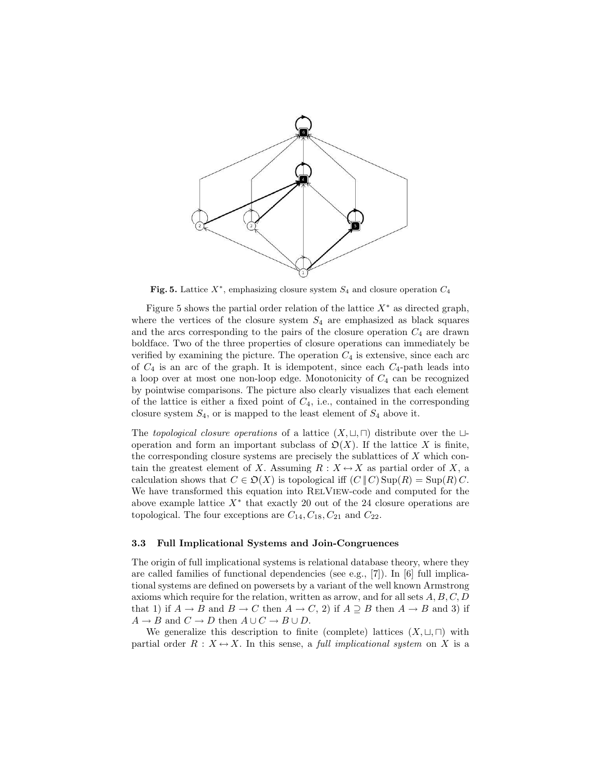

Fig. 5. Lattice  $X^*$ , emphasizing closure system  $S_4$  and closure operation  $C_4$ 

Figure 5 shows the partial order relation of the lattice  $X^*$  as directed graph, where the vertices of the closure system  $S_4$  are emphasized as black squares and the arcs corresponding to the pairs of the closure operation  $C_4$  are drawn boldface. Two of the three properties of closure operations can immediately be verified by examining the picture. The operation  $C_4$  is extensive, since each arc of  $C_4$  is an arc of the graph. It is idempotent, since each  $C_4$ -path leads into a loop over at most one non-loop edge. Monotonicity of  $C_4$  can be recognized by pointwise comparisons. The picture also clearly visualizes that each element of the lattice is either a fixed point of  $C_4$ , i.e., contained in the corresponding closure system  $S_4$ , or is mapped to the least element of  $S_4$  above it.

The topological closure operations of a lattice  $(X, \sqcup, \sqcap)$  distribute over the  $\sqcup$ operation and form an important subclass of  $\mathcal{D}(X)$ . If the lattice X is finite, the corresponding closure systems are precisely the sublattices of  $X$  which contain the greatest element of X. Assuming  $R : X \leftrightarrow X$  as partial order of X, a calculation shows that  $C \in \mathfrak{O}(X)$  is topological iff  $(C \, \| \, C)$  Sup $(R) = \text{Sup}(R)$  C. We have transformed this equation into RELVIEW-code and computed for the above example lattice  $X^*$  that exactly 20 out of the 24 closure operations are topological. The four exceptions are  $C_{14}$ ,  $C_{18}$ ,  $C_{21}$  and  $C_{22}$ .

### 3.3 Full Implicational Systems and Join-Congruences

The origin of full implicational systems is relational database theory, where they are called families of functional dependencies (see e.g., [7]). In [6] full implicational systems are defined on powersets by a variant of the well known Armstrong axioms which require for the relation, written as arrow, and for all sets  $A, B, C, D$ that 1) if  $A \to B$  and  $B \to C$  then  $A \to C$ , 2) if  $A \supseteq B$  then  $A \to B$  and 3) if  $A \to B$  and  $C \to D$  then  $A \cup C \to B \cup D$ .

We generalize this description to finite (complete) lattices  $(X, \sqcup, \sqcap)$  with partial order  $R : X \rightarrow X$ . In this sense, a *full implicational system* on X is a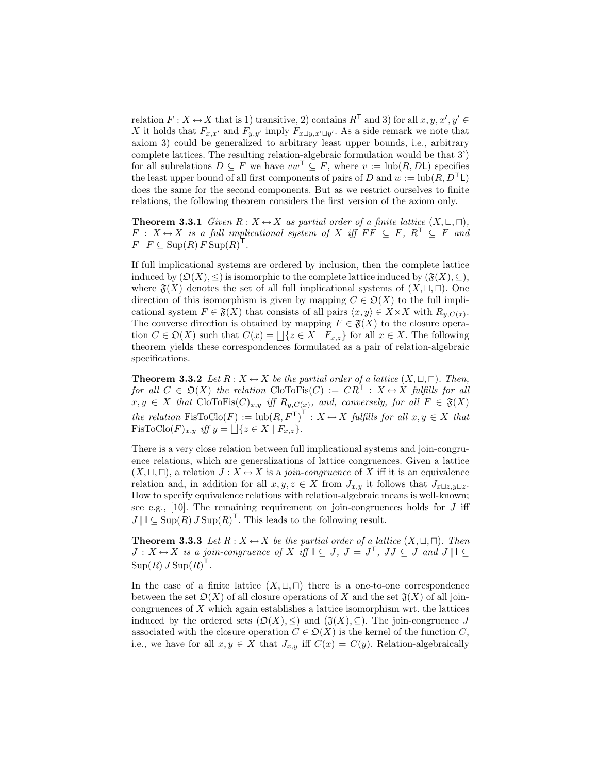relation  $F: X \leftrightarrow X$  that is 1) transitive, 2) contains  $R^{\mathsf{T}}$  and 3) for all  $x, y, x', y' \in$ X it holds that  $F_{x,x'}$  and  $F_{y,y'}$  imply  $F_{x\sqcup y,x'\sqcup y'}$ . As a side remark we note that axiom 3) could be generalized to arbitrary least upper bounds, i.e., arbitrary complete lattices. The resulting relation-algebraic formulation would be that 3') for all subrelations  $D \subseteq F$  we have  $vw^{\mathsf{T}} \subseteq F$ , where  $v := \text{lub}(R, D\mathsf{L})$  specifies the least upper bound of all first components of pairs of D and  $w := \text{lub}(R, D^{\mathsf{T}}L)$ does the same for the second components. But as we restrict ourselves to finite relations, the following theorem considers the first version of the axiom only.

**Theorem 3.3.1** Given  $R: X \leftrightarrow X$  as partial order of a finite lattice  $(X, \sqcup, \sqcap)$ ,  $F: X \mapsto X$  is a full implicational system of X iff  $FF \subseteq F$ ,  $R^T \subseteq F$  and  $F \, \| F \subseteq \text{Sup}(R) \, F \, \text{Sup}(R)^{\mathsf{T}}.$ 

If full implicational systems are ordered by inclusion, then the complete lattice induced by  $(\mathfrak{O}(X), \leq)$  is isomorphic to the complete lattice induced by  $(\mathfrak{F}(X), \subseteq)$ , where  $\mathfrak{F}(X)$  denotes the set of all full implicational systems of  $(X, \sqcup, \sqcap)$ . One direction of this isomorphism is given by mapping  $C \in \mathcal{D}(X)$  to the full implicational system  $F \in \mathfrak{F}(X)$  that consists of all pairs  $\langle x, y \rangle \in X \times X$  with  $R_{y,C(x)}$ . The converse direction is obtained by mapping  $F \in \mathfrak{F}(X)$  to the closure operation  $C \in \mathfrak{O}(X)$  such that  $C(x) = \bigsqcup \{z \in X \mid F_{x,z}\}\)$  for all  $x \in X$ . The following theorem yields these correspondences formulated as a pair of relation-algebraic specifications.

**Theorem 3.3.2** Let  $R : X \leftrightarrow X$  be the partial order of a lattice  $(X, \sqcup, \sqcap)$ . Then, for all  $C \in \mathfrak{O}(X)$  the relation CloToFis(C) :=  $CR^{\mathsf{T}} : X \leftrightarrow X$  fulfills for all  $x, y \in X$  that CloToFis $(C)_{x,y}$  iff  $R_{y,C(x)}$ , and, conversely, for all  $F \in \mathfrak{F}(X)$ the relation  $\text{FisToClo}(F) := \text{lub}(R, F^{\mathsf{T}})^{\mathsf{T}} : X \mapsto X$  fulfills for all  $x, y \in X$  that FisToClo $(F)_{x,y}$  iff  $y = \bigsqcup \{z \in X \mid F_{x,z}\}.$ 

There is a very close relation between full implicational systems and join-congruence relations, which are generalizations of lattice congruences. Given a lattice  $(X, \sqcup, \sqcap)$ , a relation  $J : X \leftrightarrow X$  is a *join-congruence* of X iff it is an equivalence relation and, in addition for all  $x, y, z \in X$  from  $J_{x,y}$  it follows that  $J_{x \sqcup z}$ , How to specify equivalence relations with relation-algebraic means is well-known; see e.g.,  $[10]$ . The remaining requirement on join-congruences holds for  $J$  iff  $J \parallel I \subseteq \text{Sup}(R) J \text{Sup}(R)^{\mathsf{T}}$ . This leads to the following result.

**Theorem 3.3.3** Let  $R : X \rightarrow X$  be the partial order of a lattice  $(X, \sqcup, \sqcap)$ . Then  $J: X \rightarrow X$  is a join-congruence of X iff  $I \subseteq J$ ,  $J = J^{\mathsf{T}}$ ,  $JJ \subseteq J$  and  $J \parallel I \subseteq J$  $\text{Sup}(R) J \text{Sup}(R)^{\mathsf{T}}$ .

In the case of a finite lattice  $(X, \sqcup, \sqcap)$  there is a one-to-one correspondence between the set  $\mathfrak{O}(X)$  of all closure operations of X and the set  $\mathfrak{J}(X)$  of all joincongruences of  $X$  which again establishes a lattice isomorphism wrt. the lattices induced by the ordered sets  $(\mathfrak{O}(X), \leq)$  and  $(\mathfrak{J}(X), \subseteq)$ . The join-congruence J associated with the closure operation  $C \in \mathcal{D}(X)$  is the kernel of the function C, i.e., we have for all  $x, y \in X$  that  $J_{x,y}$  iff  $C(x) = C(y)$ . Relation-algebraically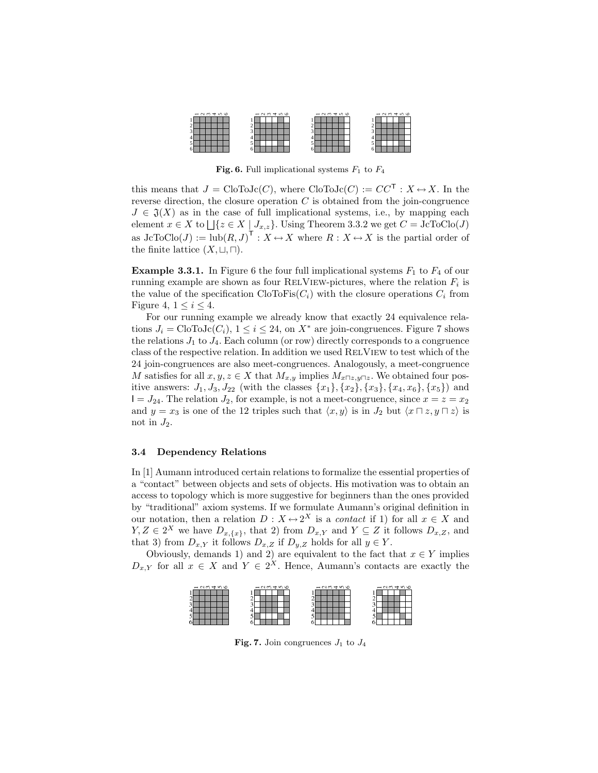

Fig. 6. Full implicational systems  $F_1$  to  $F_4$ 

this means that  $J = \text{CloToJc}(C)$ , where  $\text{CloToJc}(C) := CC^{\mathsf{T}} : X \leftrightarrow X$ . In the reverse direction, the closure operation  $C$  is obtained from the join-congruence  $J \in \mathfrak{J}(X)$  as in the case of full implicational systems, i.e., by mapping each element  $x \in X$  to  $\bigcup \{z \in X \mid J_{x,z}\}\.$  Using Theorem 3.3.2 we get  $C = \text{JcToClo}(J)$ as  $\mathrm{JcToClo}(J) := \mathrm{lub}(R, J)^\mathsf{T} : X \mapsto X$  where  $R : X \mapsto X$  is the partial order of the finite lattice  $(X, \sqcup, \sqcap)$ .

**Example 3.3.1.** In Figure 6 the four full implicational systems  $F_1$  to  $F_4$  of our running example are shown as four RELVIEW-pictures, where the relation  $F_i$  is the value of the specification  $\text{CloToFs}(C_i)$  with the closure operations  $C_i$  from Figure 4,  $1 \leq i \leq 4$ .

For our running example we already know that exactly 24 equivalence relations  $J_i = \text{CloToJc}(C_i)$ ,  $1 \leq i \leq 24$ , on  $X^*$  are join-congruences. Figure 7 shows the relations  $J_1$  to  $J_4$ . Each column (or row) directly corresponds to a congruence class of the respective relation. In addition we used RelView to test which of the 24 join-congruences are also meet-congruences. Analogously, a meet-congruence M satisfies for all  $x, y, z \in X$  that  $M_{x,y}$  implies  $M_{x \cap z, y \cap z}$ . We obtained four positive answers:  $J_1, J_3, J_{22}$  (with the classes  $\{x_1\}, \{x_2\}, \{x_3\}, \{x_4, x_6\}, \{x_5\}$ ) and  $I = J_{24}$ . The relation  $J_2$ , for example, is not a meet-congruence, since  $x = z = x_2$ and  $y = x_3$  is one of the 12 triples such that  $\langle x, y \rangle$  is in  $J_2$  but  $\langle x \sqcap z, y \sqcap z \rangle$  is not in  $J_2$ .

#### 3.4 Dependency Relations

In [1] Aumann introduced certain relations to formalize the essential properties of a "contact" between objects and sets of objects. His motivation was to obtain an access to topology which is more suggestive for beginners than the ones provided by "traditional" axiom systems. If we formulate Aumann's original definition in our notation, then a relation  $D: X \mapsto 2^X$  is a *contact* if 1) for all  $x \in X$  and  $Y, Z \in 2^X$  we have  $D_{x,\{x\}}$ , that 2) from  $D_{x,Y}$  and  $Y \subseteq Z$  it follows  $D_{x,Z}$ , and that 3) from  $D_{x,Y}$  it follows  $D_{x,Z}$  if  $D_{y,Z}$  holds for all  $y \in Y$ .

Obviously, demands 1) and 2) are equivalent to the fact that  $x \in Y$  implies  $D_{x,Y}$  for all  $x \in X$  and  $Y \in 2^X$ . Hence, Aumann's contacts are exactly the



Fig. 7. Join congruences  $J_1$  to  $J_4$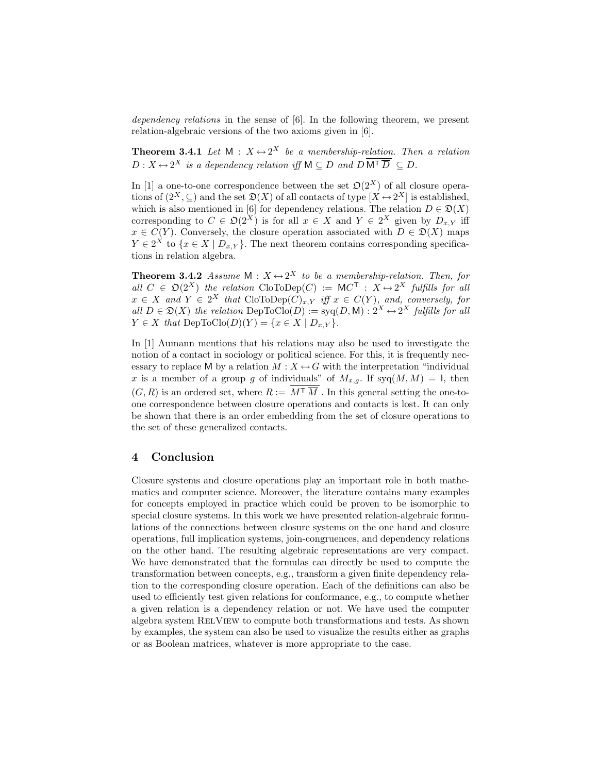dependency relations in the sense of [6]. In the following theorem, we present relation-algebraic versions of the two axioms given in [6].

**Theorem 3.4.1** Let  $M: X \rightarrow 2^X$  be a membership-relation. Then a relation  $D: X \mapsto 2^X$  is a dependency relation iff  $M \subseteq D$  and  $D M^{\mathsf{T}} \overline{D} \subseteq D$ .

In [1] a one-to-one correspondence between the set  $\mathfrak{O}(2^X)$  of all closure operations of  $(2^X, \subseteq)$  and the set  $\mathfrak{D}(X)$  of all contacts of type  $[X \leftrightarrow 2^X]$  is established, which is also mentioned in [6] for dependency relations. The relation  $D \in \mathfrak{D}(X)$ corresponding to  $C \in \mathfrak{O}(2^X)$  is for all  $x \in X$  and  $Y \in 2^X$  given by  $D_{x,Y}$  iff  $x \in C(Y)$ . Conversely, the closure operation associated with  $D \in \mathfrak{D}(X)$  maps  $Y \in 2^X$  to  $\{x \in X \mid D_{x,Y}\}.$  The next theorem contains corresponding specifications in relation algebra.

**Theorem 3.4.2** Assume  $M: X \leftrightarrow 2^X$  to be a membership-relation. Then, for all  $C \in \mathfrak{O}(2^X)$  the relation CloToDep $(C) := \mathsf{M} C^{\mathsf{T}} : X \mapsto 2^X$  fulfills for all  $x \in X$  and  $Y \in 2^X$  that  $\text{CloToDep}(C)_{x,Y}$  iff  $x \in C(Y)$ , and, conversely, for all  $D \in \mathfrak{D}(X)$  the relation DepToClo(D) :=  $\text{syq}(D, M) : 2^X \leftrightarrow 2^X$  fulfills for all  $Y \in X$  that  $\text{DepToClo}(D)(Y) = \{x \in X \mid D_{x,Y}\}.$ 

In [1] Aumann mentions that his relations may also be used to investigate the notion of a contact in sociology or political science. For this, it is frequently necessary to replace M by a relation  $M : X \leftrightarrow G$  with the interpretation "individual x is a member of a group g of individuals" of  $M_{x,q}$ . If syq $(M, M) = 1$ , then  $(G,R)$  is an ordered set, where  $R:=\,M^{\mathsf{T}}\,\overline{M}$  . In this general setting the one-toone correspondence between closure operations and contacts is lost. It can only be shown that there is an order embedding from the set of closure operations to the set of these generalized contacts.

# 4 Conclusion

Closure systems and closure operations play an important role in both mathematics and computer science. Moreover, the literature contains many examples for concepts employed in practice which could be proven to be isomorphic to special closure systems. In this work we have presented relation-algebraic formulations of the connections between closure systems on the one hand and closure operations, full implication systems, join-congruences, and dependency relations on the other hand. The resulting algebraic representations are very compact. We have demonstrated that the formulas can directly be used to compute the transformation between concepts, e.g., transform a given finite dependency relation to the corresponding closure operation. Each of the definitions can also be used to efficiently test given relations for conformance, e.g., to compute whether a given relation is a dependency relation or not. We have used the computer algebra system RelView to compute both transformations and tests. As shown by examples, the system can also be used to visualize the results either as graphs or as Boolean matrices, whatever is more appropriate to the case.